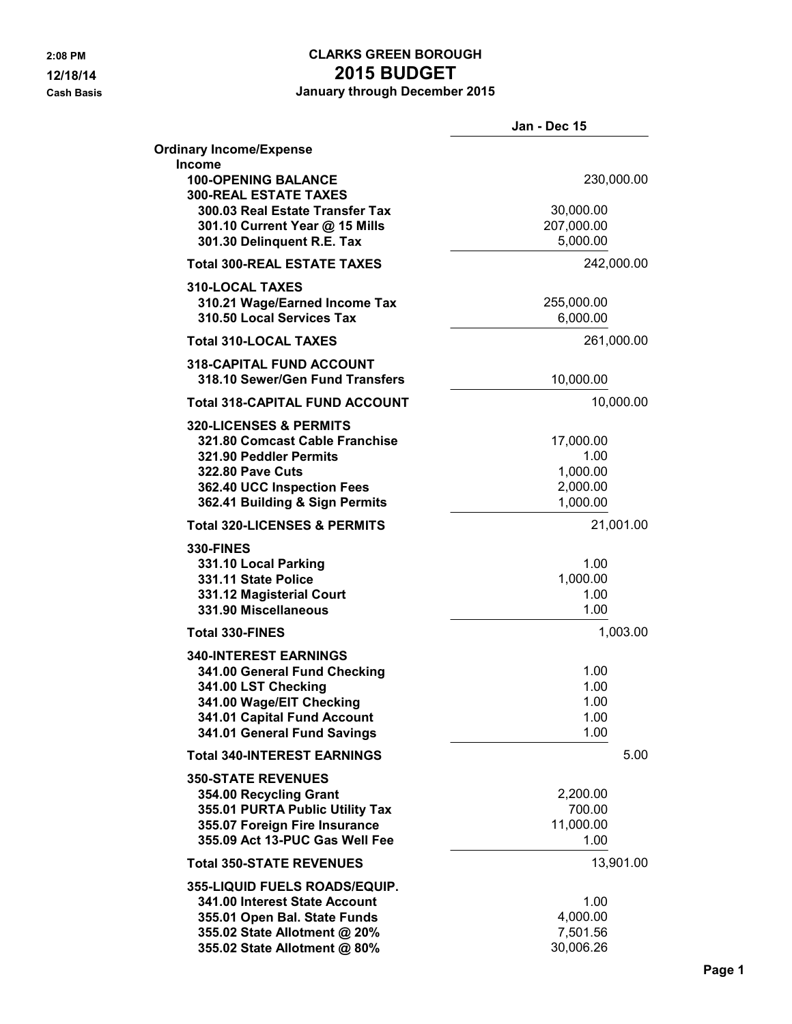# **2:08 PM CLARKS GREEN BOROUGH 12/18/14 2015 BUDGET**

**Cash Basis January through December 2015**

|                                                                     | Jan - Dec 15         |
|---------------------------------------------------------------------|----------------------|
| <b>Ordinary Income/Expense</b><br><b>Income</b>                     |                      |
| <b>100-OPENING BALANCE</b><br><b>300-REAL ESTATE TAXES</b>          | 230,000.00           |
| 300.03 Real Estate Transfer Tax                                     | 30,000.00            |
| 301.10 Current Year @ 15 Mills                                      | 207,000.00           |
| 301.30 Delinquent R.E. Tax                                          | 5,000.00             |
| <b>Total 300-REAL ESTATE TAXES</b>                                  | 242,000.00           |
| <b>310-LOCAL TAXES</b>                                              |                      |
| 310.21 Wage/Earned Income Tax                                       | 255,000.00           |
| 310.50 Local Services Tax                                           | 6,000.00             |
| <b>Total 310-LOCAL TAXES</b>                                        | 261,000.00           |
| <b>318-CAPITAL FUND ACCOUNT</b>                                     |                      |
| 318.10 Sewer/Gen Fund Transfers                                     | 10,000.00            |
| <b>Total 318-CAPITAL FUND ACCOUNT</b>                               | 10,000.00            |
| <b>320-LICENSES &amp; PERMITS</b><br>321.80 Comcast Cable Franchise | 17,000.00            |
| 321.90 Peddler Permits                                              | 1.00                 |
| <b>322.80 Pave Cuts</b>                                             | 1,000.00             |
| 362.40 UCC Inspection Fees                                          | 2,000.00             |
| 362.41 Building & Sign Permits                                      | 1,000.00             |
| <b>Total 320-LICENSES &amp; PERMITS</b>                             | 21,001.00            |
| <b>330-FINES</b>                                                    |                      |
| 331.10 Local Parking                                                | 1.00                 |
| 331.11 State Police                                                 | 1,000.00             |
| 331.12 Magisterial Court                                            | 1.00                 |
| 331.90 Miscellaneous                                                | 1.00                 |
| <b>Total 330-FINES</b>                                              | 1,003.00             |
| <b>340-INTEREST EARNINGS</b>                                        |                      |
| 341.00 General Fund Checking<br>341.00 LST Checking                 | 1.00<br>1.00         |
| 341.00 Wage/EIT Checking                                            | 1.00                 |
| 341.01 Capital Fund Account                                         | 1.00                 |
| 341.01 General Fund Savings                                         | 1.00                 |
| <b>Total 340-INTEREST EARNINGS</b>                                  | 5.00                 |
| <b>350-STATE REVENUES</b>                                           |                      |
| 354.00 Recycling Grant                                              | 2,200.00             |
| 355.01 PURTA Public Utility Tax                                     | 700.00               |
| 355.07 Foreign Fire Insurance                                       | 11,000.00            |
| 355.09 Act 13-PUC Gas Well Fee                                      | 1.00                 |
| <b>Total 350-STATE REVENUES</b>                                     | 13,901.00            |
| 355-LIQUID FUELS ROADS/EQUIP.                                       |                      |
| 341.00 Interest State Account                                       | 1.00                 |
| 355.01 Open Bal. State Funds                                        | 4,000.00<br>7,501.56 |
| 355.02 State Allotment @ 20%<br>355.02 State Allotment @ 80%        | 30,006.26            |
|                                                                     |                      |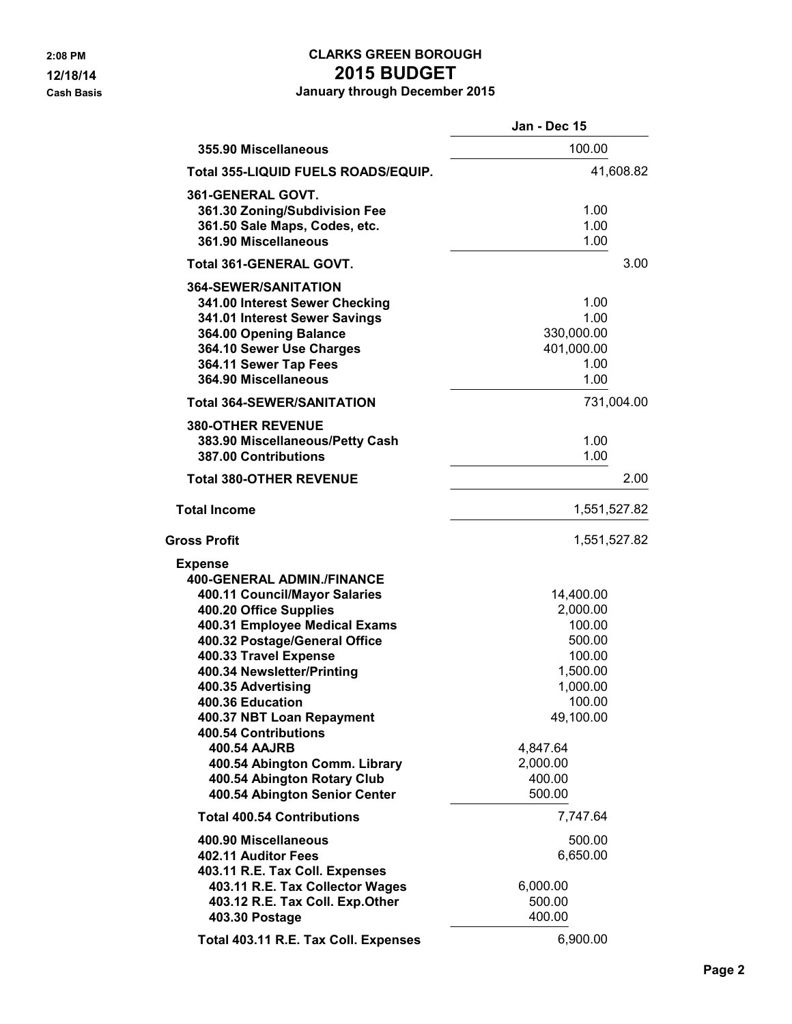### **2:08 PM CLARKS GREEN BOROUGH 12/18/14 2015 BUDGET Cash Basis January through December 2015**

|                                                                                                                                                                                                                                                                                                                                                                                                                                                                       | Jan - Dec 15                                                                                                                                   |
|-----------------------------------------------------------------------------------------------------------------------------------------------------------------------------------------------------------------------------------------------------------------------------------------------------------------------------------------------------------------------------------------------------------------------------------------------------------------------|------------------------------------------------------------------------------------------------------------------------------------------------|
| 355.90 Miscellaneous                                                                                                                                                                                                                                                                                                                                                                                                                                                  | 100.00                                                                                                                                         |
| Total 355-LIQUID FUELS ROADS/EQUIP.                                                                                                                                                                                                                                                                                                                                                                                                                                   | 41,608.82                                                                                                                                      |
| 361-GENERAL GOVT.<br>361.30 Zoning/Subdivision Fee<br>361.50 Sale Maps, Codes, etc.<br>361.90 Miscellaneous                                                                                                                                                                                                                                                                                                                                                           | 1.00<br>1.00<br>1.00                                                                                                                           |
| Total 361-GENERAL GOVT.                                                                                                                                                                                                                                                                                                                                                                                                                                               | 3.00                                                                                                                                           |
| <b>364-SEWER/SANITATION</b><br>341.00 Interest Sewer Checking<br>341.01 Interest Sewer Savings<br>364.00 Opening Balance<br>364.10 Sewer Use Charges<br>364.11 Sewer Tap Fees<br>364.90 Miscellaneous                                                                                                                                                                                                                                                                 | 1.00<br>1.00<br>330,000.00<br>401,000.00<br>1.00<br>1.00                                                                                       |
| <b>Total 364-SEWER/SANITATION</b>                                                                                                                                                                                                                                                                                                                                                                                                                                     | 731,004.00                                                                                                                                     |
| <b>380-OTHER REVENUE</b><br>383.90 Miscellaneous/Petty Cash<br><b>387.00 Contributions</b>                                                                                                                                                                                                                                                                                                                                                                            | 1.00<br>1.00                                                                                                                                   |
| <b>Total 380-OTHER REVENUE</b>                                                                                                                                                                                                                                                                                                                                                                                                                                        | 2.00                                                                                                                                           |
| <b>Total Income</b>                                                                                                                                                                                                                                                                                                                                                                                                                                                   | 1,551,527.82                                                                                                                                   |
| <b>Gross Profit</b>                                                                                                                                                                                                                                                                                                                                                                                                                                                   | 1,551,527.82                                                                                                                                   |
| <b>Expense</b><br><b>400-GENERAL ADMIN./FINANCE</b><br>400.11 Council/Mayor Salaries<br>400.20 Office Supplies<br>400.31 Employee Medical Exams<br>400.32 Postage/General Office<br>400.33 Travel Expense<br>400.34 Newsletter/Printing<br>400.35 Advertising<br>400.36 Education<br>400.37 NBT Loan Repayment<br><b>400.54 Contributions</b><br><b>400.54 AAJRB</b><br>400.54 Abington Comm. Library<br>400.54 Abington Rotary Club<br>400.54 Abington Senior Center | 14,400.00<br>2,000.00<br>100.00<br>500.00<br>100.00<br>1,500.00<br>1,000.00<br>100.00<br>49,100.00<br>4,847.64<br>2,000.00<br>400.00<br>500.00 |
| <b>Total 400.54 Contributions</b>                                                                                                                                                                                                                                                                                                                                                                                                                                     | 7,747.64                                                                                                                                       |
| 400.90 Miscellaneous<br>402.11 Auditor Fees<br>403.11 R.E. Tax Coll. Expenses<br>403.11 R.E. Tax Collector Wages<br>403.12 R.E. Tax Coll. Exp.Other<br>403.30 Postage                                                                                                                                                                                                                                                                                                 | 500.00<br>6,650.00<br>6,000.00<br>500.00<br>400.00                                                                                             |
| Total 403.11 R.E. Tax Coll. Expenses                                                                                                                                                                                                                                                                                                                                                                                                                                  | 6,900.00                                                                                                                                       |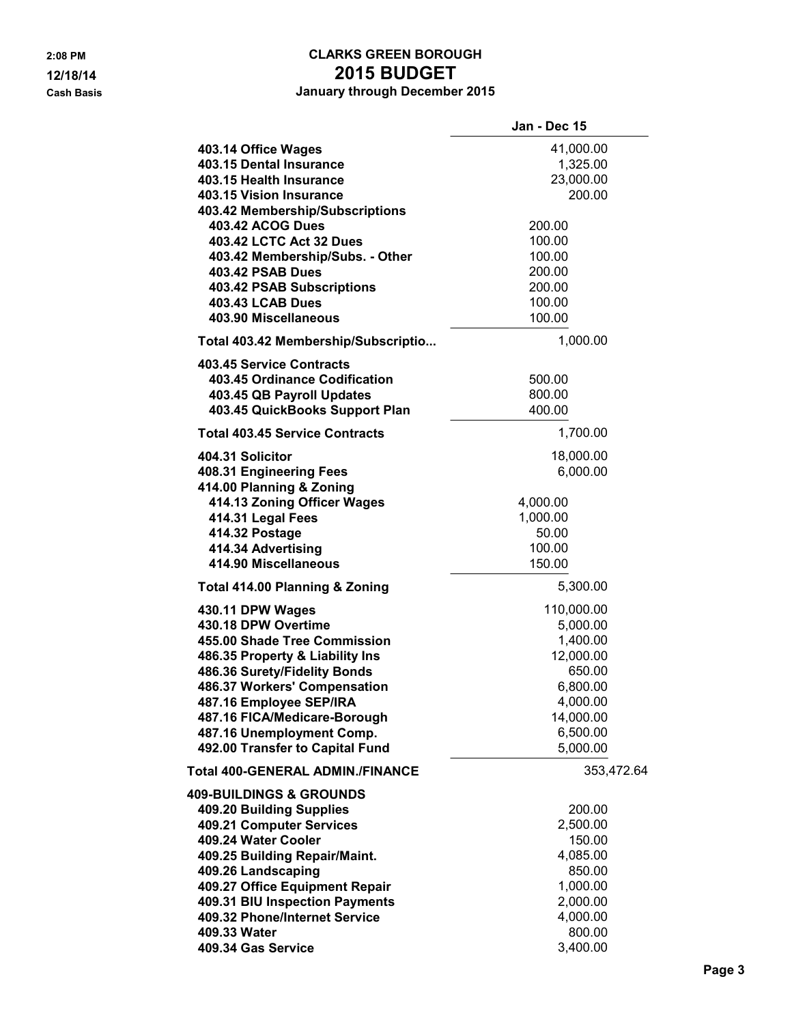### **2:08 PM CLARKS GREEN BOROUGH 12/18/14 2015 BUDGET Cash Basis January through December 2015**

|                                                                                                                                                                                                                                       | Jan - Dec 15                                                                                   |
|---------------------------------------------------------------------------------------------------------------------------------------------------------------------------------------------------------------------------------------|------------------------------------------------------------------------------------------------|
| 403.14 Office Wages<br>403.15 Dental Insurance<br>403.15 Health Insurance<br>403.15 Vision Insurance<br>403.42 Membership/Subscriptions<br><b>403.42 ACOG Dues</b>                                                                    | 41,000.00<br>1,325.00<br>23,000.00<br>200.00<br>200.00                                         |
| 403.42 LCTC Act 32 Dues<br>403.42 Membership/Subs. - Other<br><b>403.42 PSAB Dues</b><br><b>403.42 PSAB Subscriptions</b><br><b>403.43 LCAB Dues</b><br>403.90 Miscellaneous                                                          | 100.00<br>100.00<br>200.00<br>200.00<br>100.00<br>100.00                                       |
| Total 403.42 Membership/Subscriptio                                                                                                                                                                                                   | 1,000.00                                                                                       |
| <b>403.45 Service Contracts</b><br>403.45 Ordinance Codification<br>403.45 QB Payroll Updates<br>403.45 QuickBooks Support Plan                                                                                                       | 500.00<br>800.00<br>400.00                                                                     |
| <b>Total 403.45 Service Contracts</b>                                                                                                                                                                                                 | 1,700.00                                                                                       |
| 404.31 Solicitor<br>408.31 Engineering Fees<br>414.00 Planning & Zoning                                                                                                                                                               | 18,000.00<br>6,000.00                                                                          |
| 414.13 Zoning Officer Wages<br>414.31 Legal Fees<br>414.32 Postage<br>414.34 Advertising                                                                                                                                              | 4,000.00<br>1,000.00<br>50.00<br>100.00                                                        |
| 414.90 Miscellaneous                                                                                                                                                                                                                  | 150.00                                                                                         |
| <b>Total 414.00 Planning &amp; Zoning</b>                                                                                                                                                                                             | 5,300.00                                                                                       |
| 430.11 DPW Wages<br>430.18 DPW Overtime<br>455.00 Shade Tree Commission<br>486.35 Property & Liability Ins<br>486.36 Surety/Fidelity Bonds<br>486.37 Workers' Compensation<br>487.16 Employee SEP/IRA<br>487.16 FICA/Medicare-Borough | 110,000.00<br>5,000.00<br>1,400.00<br>12,000.00<br>650.00<br>6,800.00<br>4,000.00<br>14,000.00 |
| 487.16 Unemployment Comp.                                                                                                                                                                                                             | 6,500.00                                                                                       |
| 492.00 Transfer to Capital Fund                                                                                                                                                                                                       | 5,000.00                                                                                       |
| Total 400-GENERAL ADMIN./FINANCE                                                                                                                                                                                                      | 353,472.64                                                                                     |
| 409-BUILDINGS & GROUNDS<br>409.20 Building Supplies<br>409.21 Computer Services                                                                                                                                                       | 200.00<br>2,500.00                                                                             |
| 409.24 Water Cooler<br>409.25 Building Repair/Maint.                                                                                                                                                                                  | 150.00<br>4,085.00                                                                             |
| 409.26 Landscaping                                                                                                                                                                                                                    | 850.00                                                                                         |
| 409.27 Office Equipment Repair                                                                                                                                                                                                        | 1,000.00                                                                                       |
| 409.31 BIU Inspection Payments                                                                                                                                                                                                        | 2,000.00                                                                                       |
| 409.32 Phone/Internet Service                                                                                                                                                                                                         | 4,000.00                                                                                       |
| 409.33 Water<br>409.34 Gas Service                                                                                                                                                                                                    | 800.00<br>3,400.00                                                                             |
|                                                                                                                                                                                                                                       |                                                                                                |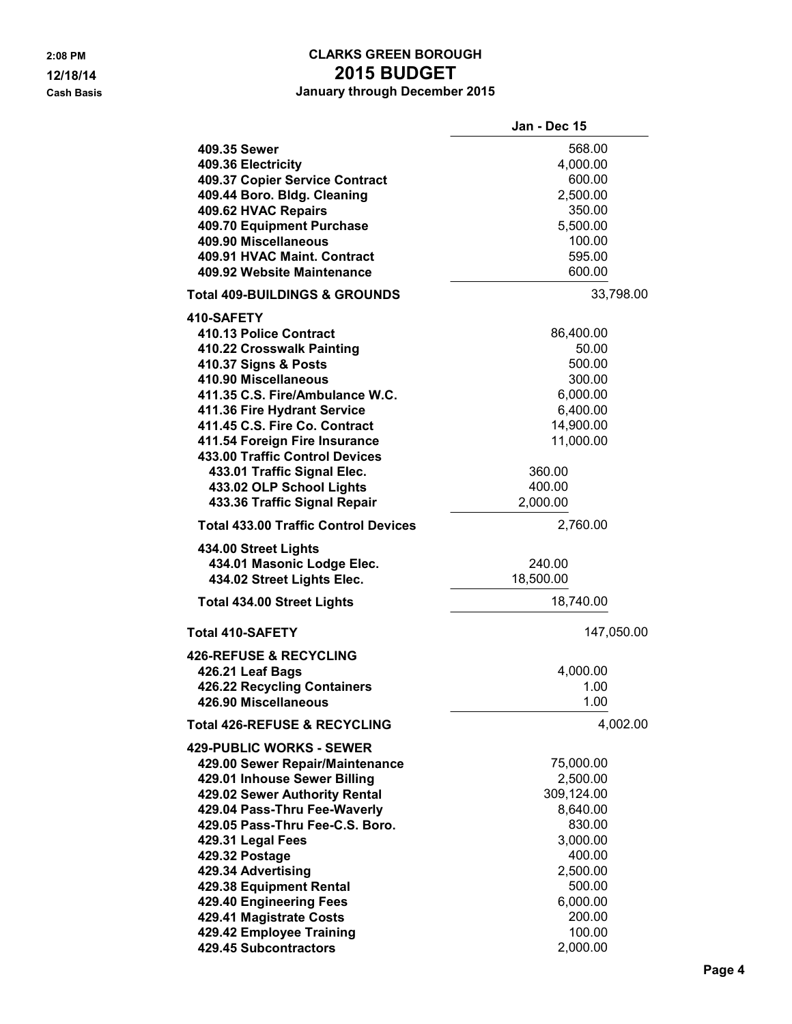### **2:08 PM CLARKS GREEN BOROUGH 12/18/14 2015 BUDGET Cash Basis January through December 2015**

|                                             | Jan - Dec 15 |
|---------------------------------------------|--------------|
| 409.35 Sewer                                | 568.00       |
| 409.36 Electricity                          | 4,000.00     |
| 409.37 Copier Service Contract              | 600.00       |
| 409.44 Boro. Bldg. Cleaning                 | 2,500.00     |
| 409.62 HVAC Repairs                         | 350.00       |
| 409.70 Equipment Purchase                   | 5,500.00     |
| 409.90 Miscellaneous                        | 100.00       |
| 409.91 HVAC Maint. Contract                 | 595.00       |
| 409.92 Website Maintenance                  | 600.00       |
|                                             |              |
| <b>Total 409-BUILDINGS &amp; GROUNDS</b>    | 33,798.00    |
| 410-SAFETY                                  |              |
| 410.13 Police Contract                      | 86,400.00    |
| 410.22 Crosswalk Painting                   | 50.00        |
| 410.37 Signs & Posts                        | 500.00       |
| 410.90 Miscellaneous                        | 300.00       |
| 411.35 C.S. Fire/Ambulance W.C.             | 6,000.00     |
| 411.36 Fire Hydrant Service                 | 6,400.00     |
| 411.45 C.S. Fire Co. Contract               | 14,900.00    |
| 411.54 Foreign Fire Insurance               | 11,000.00    |
| 433.00 Traffic Control Devices              |              |
| 433.01 Traffic Signal Elec.                 | 360.00       |
| 433.02 OLP School Lights                    | 400.00       |
| 433.36 Traffic Signal Repair                | 2,000.00     |
| <b>Total 433.00 Traffic Control Devices</b> | 2,760.00     |
| 434.00 Street Lights                        |              |
| 434.01 Masonic Lodge Elec.                  | 240.00       |
| 434.02 Street Lights Elec.                  | 18,500.00    |
| <b>Total 434.00 Street Lights</b>           | 18,740.00    |
|                                             |              |
| <b>Total 410-SAFETY</b>                     | 147,050.00   |
| <b>426-REFUSE &amp; RECYCLING</b>           |              |
| 426.21 Leaf Bags                            | 4,000.00     |
| 426.22 Recycling Containers                 | 1.00         |
| 426.90 Miscellaneous                        | 1.00         |
| <b>Total 426-REFUSE &amp; RECYCLING</b>     | 4,002.00     |
| <b>429-PUBLIC WORKS - SEWER</b>             |              |
| 429.00 Sewer Repair/Maintenance             | 75,000.00    |
| 429.01 Inhouse Sewer Billing                | 2,500.00     |
| 429.02 Sewer Authority Rental               | 309,124.00   |
| 429.04 Pass-Thru Fee-Waverly                | 8,640.00     |
| 429.05 Pass-Thru Fee-C.S. Boro.             | 830.00       |
| 429.31 Legal Fees                           | 3,000.00     |
| 429.32 Postage                              | 400.00       |
| 429.34 Advertising                          | 2,500.00     |
| 429.38 Equipment Rental                     | 500.00       |
| 429.40 Engineering Fees                     | 6,000.00     |
| 429.41 Magistrate Costs                     | 200.00       |
| 429.42 Employee Training                    | 100.00       |
| 429.45 Subcontractors                       | 2,000.00     |
|                                             |              |